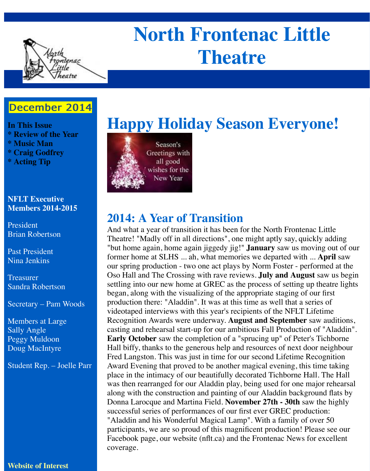

# **North Frontenac Little Theatre**

## December 2014

**In This Issue \* Review of the Year \* Music Man \* Craig Godfrey \* Acting Tip**

#### **NFLT Executive Members 2014-2015**

President Brian Robertson

Past President Nina Jenkins

Treasurer Sandra Robertson

Secretary – Pam Woods

Members at Large Sally Angle Peggy Muldoon Doug MacIntyre

Student Rep. – Joelle Parr

#### **Website of Interest**





## **2014: A Year of Transition**

And what a year of transition it has been for the North Frontenac Little Theatre! "Madly off in all directions", one might aptly say, quickly adding "but home again, home again jiggedy jig!" **January** saw us moving out of our former home at SLHS ... ah, what memories we departed with ... **April** saw our spring production - two one act plays by Norm Foster - performed at the Oso Hall and The Crossing with rave reviews. **July and August** saw us begin settling into our new home at GREC as the process of setting up theatre lights began, along with the visualizing of the appropriate staging of our first production there: "Aladdin". It was at this time as well that a series of videotaped interviews with this year's recipients of the NFLT Lifetime Recognition Awards were underway. **August and September** saw auditions, casting and rehearsal start-up for our ambitious Fall Production of "Aladdin". **Early October** saw the completion of a "sprucing up" of Peter's Tichborne Hall biffy, thanks to the generous help and resources of next door neighbour Fred Langston. This was just in time for our second Lifetime Recognition Award Evening that proved to be another magical evening, this time taking place in the intimacy of our beautifully decorated Tichborne Hall. The Hall was then rearranged for our Aladdin play, being used for one major rehearsal along with the construction and painting of our Aladdin background flats by Donna Larocque and Martina Field. **November 27th - 30th** saw the highly successful series of performances of our first ever GREC production: "Aladdin and his Wonderful Magical Lamp". With a family of over 50 participants, we are so proud of this magnificent production! Please see our Facebook page, our website (nflt.ca) and the Frontenac News for excellent coverage.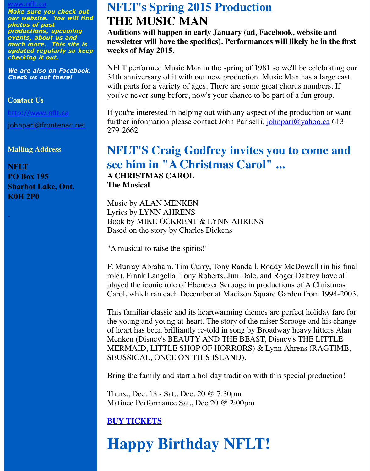We are also on Facebook. We are also on Facebook. [Check us ou](http://www.nflt.ca/)t there!

#### **Contact Us**

http://www.nflt.ca

johnpari@frontenac.net

#### **Mailing Address**

**NFLT PO Box 195 [Sharbot Lake, On](http://www.nflt.ca/)t. [K0H 2P0](mailto:johnpari@frontenac.net)**

 $\mathbf{N}$  is a spring of 1981 so we then spring of  $\mathbf{N}$ 34th anniversary of it with our new production. Music Man has with parts for a variety of ages. There are some great chorus numbers. you've never sung before, now's your chance to be part of a fun

If you're interested in helping out with any aspect of the productionfurther information please contact John Pariselli. *johnpari@ya* 279-2662

### **NFLT'S Craig Godfrey invites you to come and**  $\alpha$ **see him in "A Christmas Carol" ... A CHRISTMAS CAROL The Musical**

Music by ALAN MENKEN Lyrics by LYNN AHRENS Book by MIKE OCKRENT & LYNN AHRENS Based on the story by Charles Dickens

"A musical to raise the spirits!"

F. Murray Abraham, Tim Curry, Tony Randall, Roddy McDow role), Frank Langella, Tony Roberts, Jim Dale, and Roger Dalt played the iconic role of Ebenezer Scrooge in productions of  $A$ Carol, which ran each December at Madison Square Garden from

This familiar classic and its heartwarming themes are perfect holiday the young and young-at-heart. The story of the miser Scrooge of heart has been brilliantly re-told in song by Broadway heavy Menken (Disney's BEAUTY AND THE BEAST, Disney's TH MERMAID, LITTLE SHOP OF HORRORS)  $&$  Lynn Ahrens SEUSSICAL, ONCE ON THIS ISLAND).

Bring the family and start a holiday tradition with this special

Thurs., Dec. 18 - Sat., Dec. 20 @ 7:30pm Matinee Performance Sat., Dec 20 @ 2:00pm

#### **BUY TICKETS**

## **Happy Birthday NFLT!**